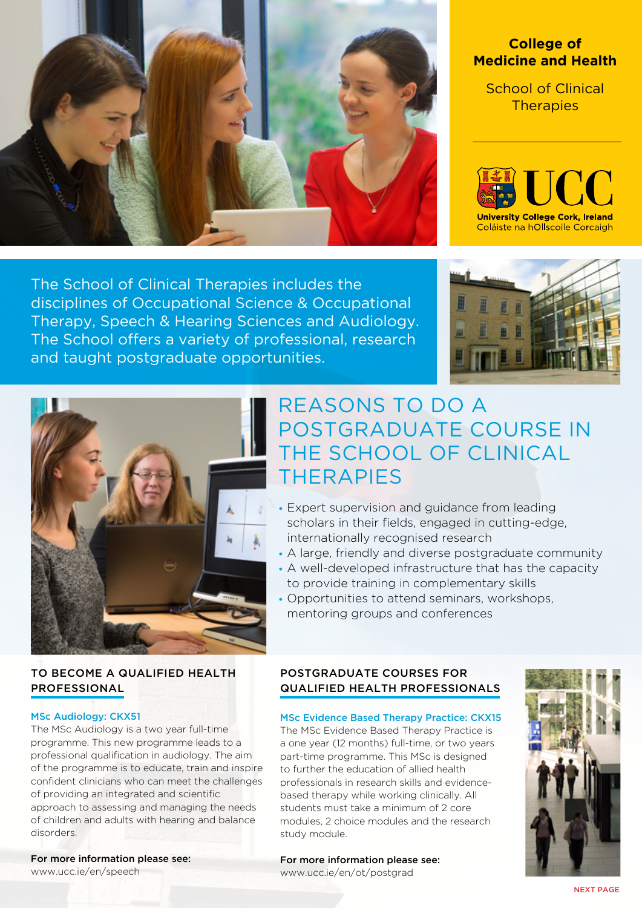<span id="page-0-0"></span>

# **College of Medicine and Health**

School of Clinical **Therapies** 



The School of Clinical Therapies includes the disciplines of Occupational Science & Occupational Therapy, Speech & Hearing Sciences and Audiology. The School offers a variety of professional, research and taught postgraduate opportunities.





# POSTGRADUATE COURSE IN THE SCHOOL OF CLINICAL THERAPIES • Expert supervision and guidance from leading

REASONS TO DO A

- scholars in their fields, engaged in cutting-edge, internationally recognised research
- A large, friendly and diverse postgraduate community
- A well-developed infrastructure that has the capacity to provide training in complementary skills
- Opportunities to attend seminars, workshops, mentoring groups and conferences

# TO BECOME A QUALIFIED HEALTH PROFESSIONAL

#### MSc Audiology: CKX51

The MSc Audiology is a two year full-time programme. This new programme leads to a professional qualification in audiology. The aim of the programme is to educate, train and inspire confident clinicians who can meet the challenges of providing an integrated and scientific approach to assessing and managing the needs of children and adults with hearing and balance disorders.

# For more information please see:

[www.ucc.ie/en/speech](http://www.ucc.ie/en/speech)

### POSTGRADUATE COURSES FOR QUALIFIED HEALTH PROFESSIONALS

# MSc Evidence Based Therapy Practice: CKX15

The MSc Evidence Based Therapy Practice is a one year (12 months) full-time, or two years part-time programme. This MSc is designed to further the education of allied health professionals in research skills and evidencebased therapy while working clinically. All students must take a minimum of 2 core modules, 2 choice modules and the research study module.

For more information please see: [www.ucc.ie/en/ot/postgrad](http://www.ucc.ie/en/ot/postgrad)



[NEXT PAGE](#page-1-0)